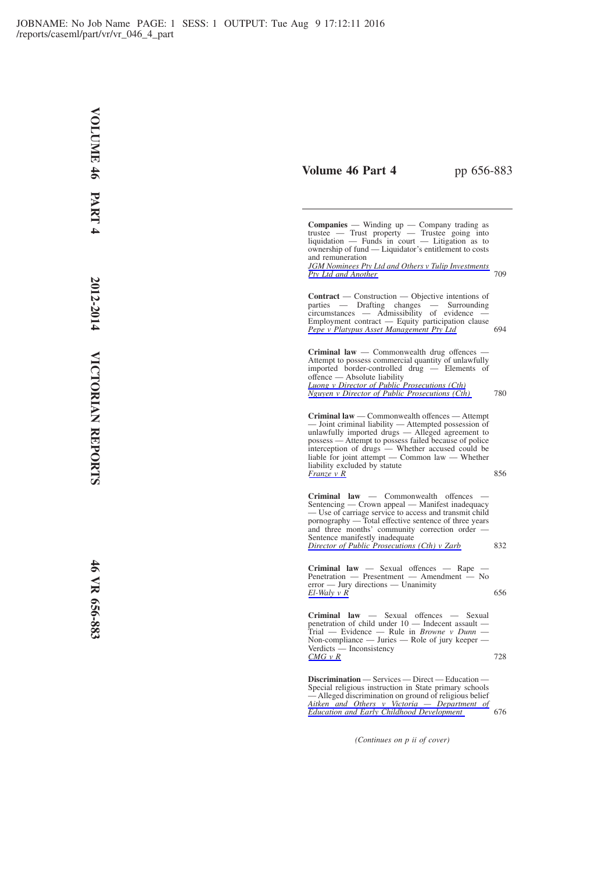## **Volume 46 Part 4** pp 656-883

**Companies** — Winding up — Company trading as trustee — Trust property — Trustee going into  $liquidation$  — Funds in court — Litigation as to ownership of fund — Liquidator's entitlement to costs and remuneration

*[JGM Nominees Pty Ltd and Others v Tulip Investments](http://www.lexisnexis.com/au/legal/docview/getDocForCuiReq?lni=5KGJ-DYF1-DY59-Y43R&csi=267700&oc=00240&perma=true) [Pty Ltd and Another](http://www.lexisnexis.com/au/legal/docview/getDocForCuiReq?lni=5KGJ-DYF1-DY59-Y43R&csi=267700&oc=00240&perma=true)* 709

**Contract** — Construction — Objective intentions of parties — Drafting changes — Surrounding  $c$ ircumstances — Admissibility of evidence Employment contract — Equity participation clause *[Pepe v Platypus Asset Management Pty Ltd](http://www.lexisnexis.com/au/legal/docview/getDocForCuiReq?lni=5KGJ-DYF1-DY59-Y3RR&csi=267700&oc=00240&perma=true)* 694

**Criminal law** — Commonwealth drug offences — Attempt to possess commercial quantity of unlawfully imported border-controlled drug — Elements of offence — Absolute liability *[Luong v Director of Public Prosecutions \(Cth\)](http://www.lexisnexis.com/au/legal/docview/getDocForCuiReq?lni=5KGJ-DYF1-DY59-Y3PF&csi=267700&oc=00240&perma=true) [Nguyen v Director of Public Prosecutions \(Cth\)](http://www.lexisnexis.com/au/legal/docview/getDocForCuiReq?lni=5KGJ-DYF1-DY59-Y3PF&csi=267700&oc=00240&perma=true)* 780

**Criminal law** — Commonwealth offences — Attempt — Joint criminal liability — Attempted possession of unlawfully imported drugs — Alleged agreement to possess — Attempt to possess failed because of police interception of drugs — Whether accused could be liable for joint attempt — Common law — Whether liability excluded by statute *[Franze v R](http://www.lexisnexis.com/au/legal/docview/getDocForCuiReq?lni=5KGJ-DYF1-DY59-Y41F&csi=267700&oc=00240&perma=true)* 856

**Criminal law** — Commonwealth offences — Sentencing — Crown appeal — Manifest inadequacy — Use of carriage service to access and transmit child pornography — Total effective sentence of three years and three months' community correction order Sentence manifestly inadequate *[Director of Public Prosecutions \(Cth\) v Zarb](http://www.lexisnexis.com/au/legal/docview/getDocForCuiReq?lni=5KGJ-DYF1-DY59-Y3S3&csi=267700&oc=00240&perma=true)* 832

**Criminal law** — Sexual offences — Rape — Penetration — Presentment — Amendment — No error — Jury directions — Unanimity  $El-Waly v R$ <sup>656</sup>

**Criminal law** — Sexual offences — Sexual penetration of child under 10 — Indecent assault — Trial — Evidence — Rule in *Browne v Dunn* — Non-compliance — Juries — Role of jury keeper — Verdicts — Inconsistency<br> *[CMG v R](http://www.lexisnexis.com/au/legal/docview/getDocForCuiReq?lni=5KGJ-DYF1-DY59-Y26C&csi=267700&oc=00240&perma=true)* 728

**Discrimination** — Services — Direct — Education — Special religious instruction in State primary schools — Alleged discrimination on ground of religious belief *[Aitken and Others v Victoria — Department of](http://www.lexisnexis.com/au/legal/docview/getDocForCuiReq?lni=5KGJ-DYF1-DY59-Y443&csi=267700&oc=00240&perma=true) [Education and Early Childhood Development](http://www.lexisnexis.com/au/legal/docview/getDocForCuiReq?lni=5KGJ-DYF1-DY59-Y443&csi=267700&oc=00240&perma=true)* 676

*(Continues on p ii of cover)*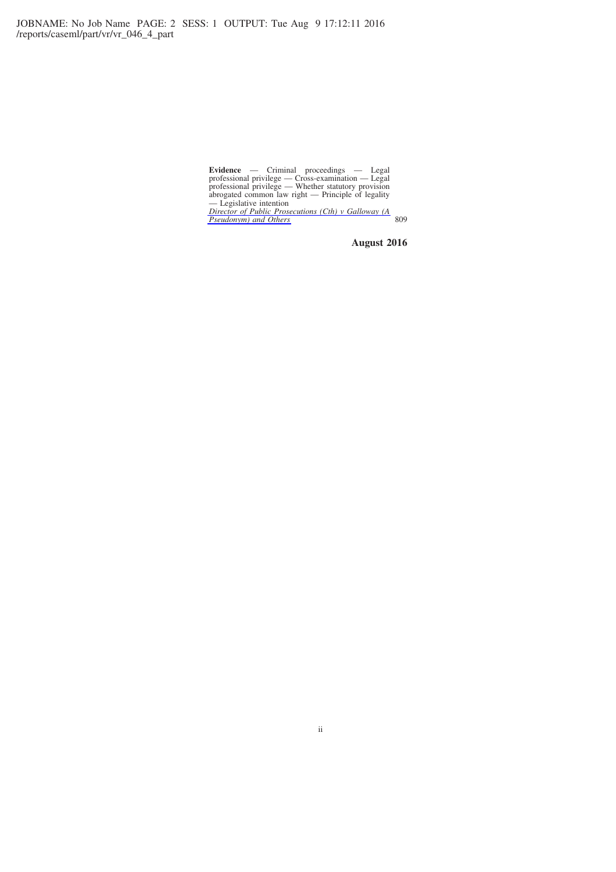**Evidence** — Criminal proceedings — Legal<br>professional privilege — Cross-examination — Legal<br>professional privilege — Whether statutory provision<br>abrogated common law right — Principle of legality<br>— Legislative intention<br>

**August 2016**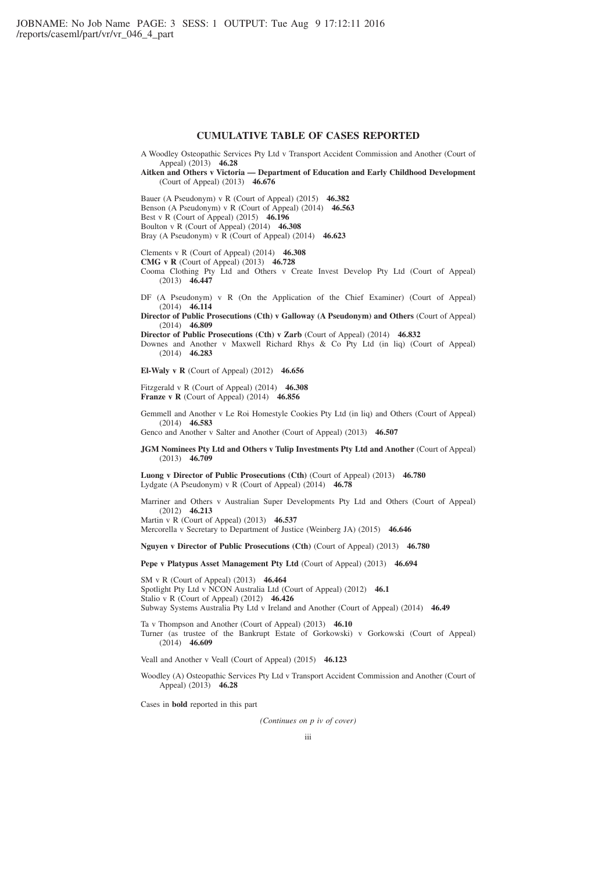### **CUMULATIVE TABLE OF CASES REPORTED**

- A Woodley Osteopathic Services Pty Ltd v Transport Accident Commission and Another (Court of Appeal) (2013) **46.28**
- **Aitken and Others v Victoria Department of Education and Early Childhood Development** (Court of Appeal) (2013) **46.676**

Bauer (A Pseudonym) v R (Court of Appeal) (2015) **46.382** Benson (A Pseudonym) v R (Court of Appeal) (2014) **46.563** Best v R (Court of Appeal) (2015) **46.196** Boulton v R (Court of Appeal) (2014) **46.308**

Bray (A Pseudonym) v R (Court of Appeal) (2014) **46.623**

Clements v R (Court of Appeal) (2014) **46.308**

**CMG v R** (Court of Appeal) (2013) **46.728**

- Cooma Clothing Pty Ltd and Others v Create Invest Develop Pty Ltd (Court of Appeal) (2013) **46.447**
- DF (A Pseudonym) v R (On the Application of the Chief Examiner) (Court of Appeal) (2014) **46.114**
- **Director of Public Prosecutions (Cth) v Galloway (A Pseudonym) and Others** (Court of Appeal) (2014) **46.809**

**Director of Public Prosecutions (Cth) v Zarb** (Court of Appeal) (2014) **46.832**

- Downes and Another v Maxwell Richard Rhys & Co Pty Ltd (in liq) (Court of Appeal) (2014) **46.283**
- **El-Waly v R** (Court of Appeal) (2012) **46.656**
- Fitzgerald v R (Court of Appeal) (2014) **46.308 Franze v R** (Court of Appeal) (2014) **46.856**
- Gemmell and Another v Le Roi Homestyle Cookies Pty Ltd (in liq) and Others (Court of Appeal) (2014) **46.583**

Genco and Another v Salter and Another (Court of Appeal) (2013) **46.507**

**JGM Nominees Pty Ltd and Others v Tulip Investments Pty Ltd and Another** (Court of Appeal) (2013) **46.709**

**Luong v Director of Public Prosecutions (Cth)** (Court of Appeal) (2013) **46.780** Lydgate (A Pseudonym) v R (Court of Appeal) (2014) **46.78**

Marriner and Others v Australian Super Developments Pty Ltd and Others (Court of Appeal) (2012) **46.213** Martin v R (Court of Appeal) (2013) **46.537**

Mercorella v Secretary to Department of Justice (Weinberg JA) (2015) **46.646**

**Nguyen v Director of Public Prosecutions (Cth)** (Court of Appeal) (2013) **46.780**

**Pepe v Platypus Asset Management Pty Ltd** (Court of Appeal) (2013) **46.694**

SM v R (Court of Appeal) (2013) **46.464** Spotlight Pty Ltd v NCON Australia Ltd (Court of Appeal) (2012) **46.1** Stalio v R (Court of Appeal) (2012) **46.426** Subway Systems Australia Pty Ltd v Ireland and Another (Court of Appeal) (2014) **46.49**

Ta v Thompson and Another (Court of Appeal) (2013) **46.10** Turner (as trustee of the Bankrupt Estate of Gorkowski) v Gorkowski (Court of Appeal) (2014) **46.609**

Veall and Another v Veall (Court of Appeal) (2015) **46.123**

Woodley (A) Osteopathic Services Pty Ltd v Transport Accident Commission and Another (Court of Appeal) (2013) **46.28**

Cases in **bold** reported in this part

*(Continues on p iv of cover)*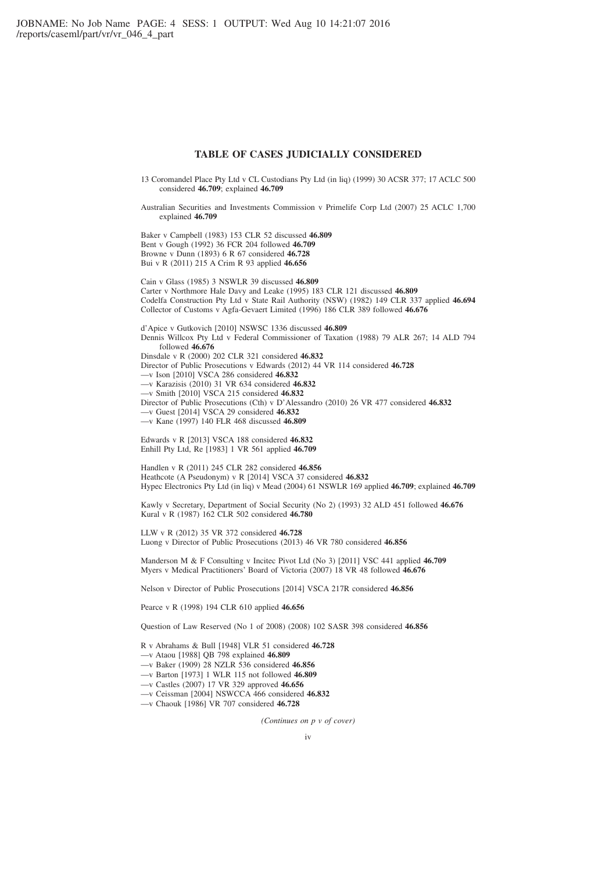### **TABLE OF CASES JUDICIALLY CONSIDERED**

- 13 Coromandel Place Pty Ltd v CL Custodians Pty Ltd (in liq) (1999) 30 ACSR 377; 17 ACLC 500 considered **46.709**; explained **46.709**
- Australian Securities and Investments Commission v Primelife Corp Ltd (2007) 25 ACLC 1,700 explained **46.709**

Baker v Campbell (1983) 153 CLR 52 discussed **46.809** Bent v Gough (1992) 36 FCR 204 followed **46.709** Browne v Dunn (1893) 6 R 67 considered **46.728** Bui v R (2011) 215 A Crim R 93 applied **46.656**

Cain v Glass (1985) 3 NSWLR 39 discussed **46.809** Carter v Northmore Hale Davy and Leake (1995) 183 CLR 121 discussed **46.809** Codelfa Construction Pty Ltd v State Rail Authority (NSW) (1982) 149 CLR 337 applied **46.694** Collector of Customs v Agfa-Gevaert Limited (1996) 186 CLR 389 followed **46.676**

d'Apice v Gutkovich [2010] NSWSC 1336 discussed **46.809** Dennis Willcox Pty Ltd v Federal Commissioner of Taxation (1988) 79 ALR 267; 14 ALD 794 followed **46.676** Dinsdale v R (2000) 202 CLR 321 considered **46.832** Director of Public Prosecutions v Edwards (2012) 44 VR 114 considered **46.728** —v Ison [2010] VSCA 286 considered **46.832** —v Karazisis (2010) 31 VR 634 considered **46.832** —v Smith [2010] VSCA 215 considered **46.832** Director of Public Prosecutions (Cth) v D'Alessandro (2010) 26 VR 477 considered **46.832** —v Guest [2014] VSCA 29 considered **46.832** —v Kane (1997) 140 FLR 468 discussed **46.809**

Edwards v R [2013] VSCA 188 considered **46.832** Enhill Pty Ltd, Re [1983] 1 VR 561 applied **46.709**

Handlen v R (2011) 245 CLR 282 considered **46.856** Heathcote (A Pseudonym) v R [2014] VSCA 37 considered **46.832** Hypec Electronics Pty Ltd (in liq) v Mead (2004) 61 NSWLR 169 applied **46.709**; explained **46.709**

Kawly v Secretary, Department of Social Security (No 2) (1993) 32 ALD 451 followed **46.676** Kural v R (1987) 162 CLR 502 considered **46.780**

LLW v R (2012) 35 VR 372 considered **46.728** Luong v Director of Public Prosecutions (2013) 46 VR 780 considered **46.856**

Manderson M & F Consulting v Incitec Pivot Ltd (No 3) [2011] VSC 441 applied **46.709** Myers v Medical Practitioners' Board of Victoria (2007) 18 VR 48 followed **46.676**

Nelson v Director of Public Prosecutions [2014] VSCA 217R considered **46.856**

Pearce v R (1998) 194 CLR 610 applied **46.656**

Question of Law Reserved (No 1 of 2008) (2008) 102 SASR 398 considered **46.856**

R v Abrahams & Bull [1948] VLR 51 considered **46.728**

- —v Ataou [1988] QB 798 explained **46.809**
- —v Baker (1909) 28 NZLR 536 considered **46.856**
- —v Barton [1973] 1 WLR 115 not followed **46.809**
- —v Castles (2007) 17 VR 329 approved **46.656**
- —v Ceissman [2004] NSWCCA 466 considered **46.832**
- —v Chaouk [1986] VR 707 considered **46.728**

*(Continues on p v of cover)*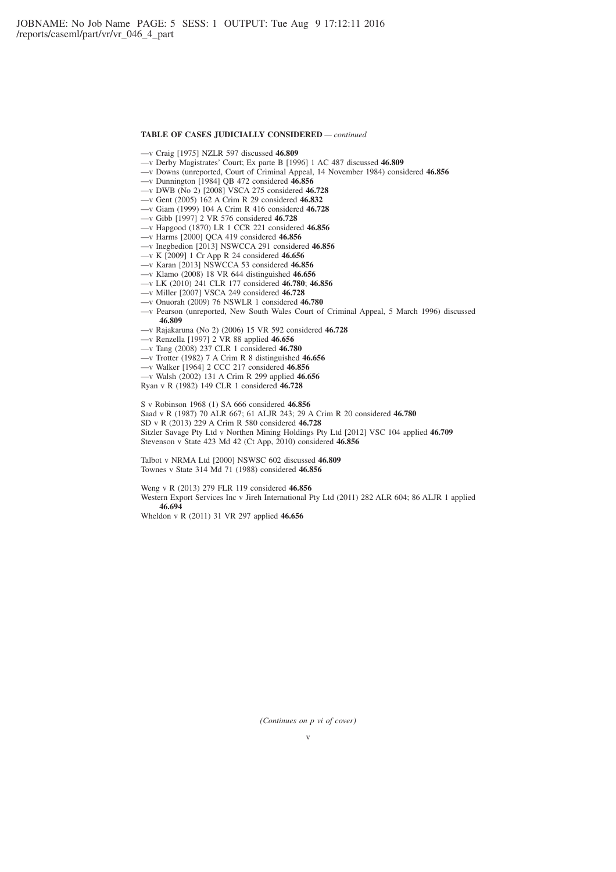#### **TABLE OF CASES JUDICIALLY CONSIDERED** *— continued*

- —v Craig [1975] NZLR 597 discussed **46.809**
- —v Derby Magistrates' Court; Ex parte B [1996] 1 AC 487 discussed **46.809**
- —v Downs (unreported, Court of Criminal Appeal, 14 November 1984) considered **46.856**
- —v Dunnington [1984] QB 472 considered **46.856**
- —v DWB (No 2) [2008] VSCA 275 considered **46.728**
- —v Gent (2005) 162 A Crim R 29 considered **46.832**
- —v Giam (1999) 104 A Crim R 416 considered **46.728**
- —v Gibb [1997] 2 VR 576 considered **46.728**
- —v Hapgood (1870) LR 1 CCR 221 considered **46.856**
- —v Harms [2000] QCA 419 considered **46.856**
- —v Inegbedion [2013] NSWCCA 291 considered **46.856**
- —v K [2009] 1 Cr App R 24 considered **46.656**
- —v Karan [2013] NSWCCA 53 considered **46.856**
- —v Klamo (2008) 18 VR 644 distinguished **46.656**
- —v LK (2010) 241 CLR 177 considered **46.780**; **46.856**
- —v Miller [2007] VSCA 249 considered **46.728**
- —v Onuorah (2009) 76 NSWLR 1 considered **46.780**
- —v Pearson (unreported, New South Wales Court of Criminal Appeal, 5 March 1996) discussed **46.809**
- —v Rajakaruna (No 2) (2006) 15 VR 592 considered **46.728**
- —v Renzella [1997] 2 VR 88 applied **46.656**
- —v Tang (2008) 237 CLR 1 considered **46.780**
- —v Trotter (1982) 7 A Crim R 8 distinguished **46.656**
- —v Walker [1964] 2 CCC 217 considered **46.856**
- —v Walsh (2002) 131 A Crim R 299 applied **46.656**
- Ryan v R (1982) 149 CLR 1 considered **46.728**

S v Robinson 1968 (1) SA 666 considered **46.856**

Saad v R (1987) 70 ALR 667; 61 ALJR 243; 29 A Crim R 20 considered **46.780** SD v R (2013) 229 A Crim R 580 considered **46.728** Sitzler Savage Pty Ltd v Northen Mining Holdings Pty Ltd [2012] VSC 104 applied **46.709** Stevenson v State 423 Md 42 (Ct App, 2010) considered **46.856**

Talbot v NRMA Ltd [2000] NSWSC 602 discussed **46.809** Townes v State 314 Md 71 (1988) considered **46.856**

Weng v R (2013) 279 FLR 119 considered **46.856** Western Export Services Inc v Jireh International Pty Ltd (2011) 282 ALR 604; 86 ALJR 1 applied **46.694**

Wheldon v R (2011) 31 VR 297 applied **46.656**

*(Continues on p vi of cover)*